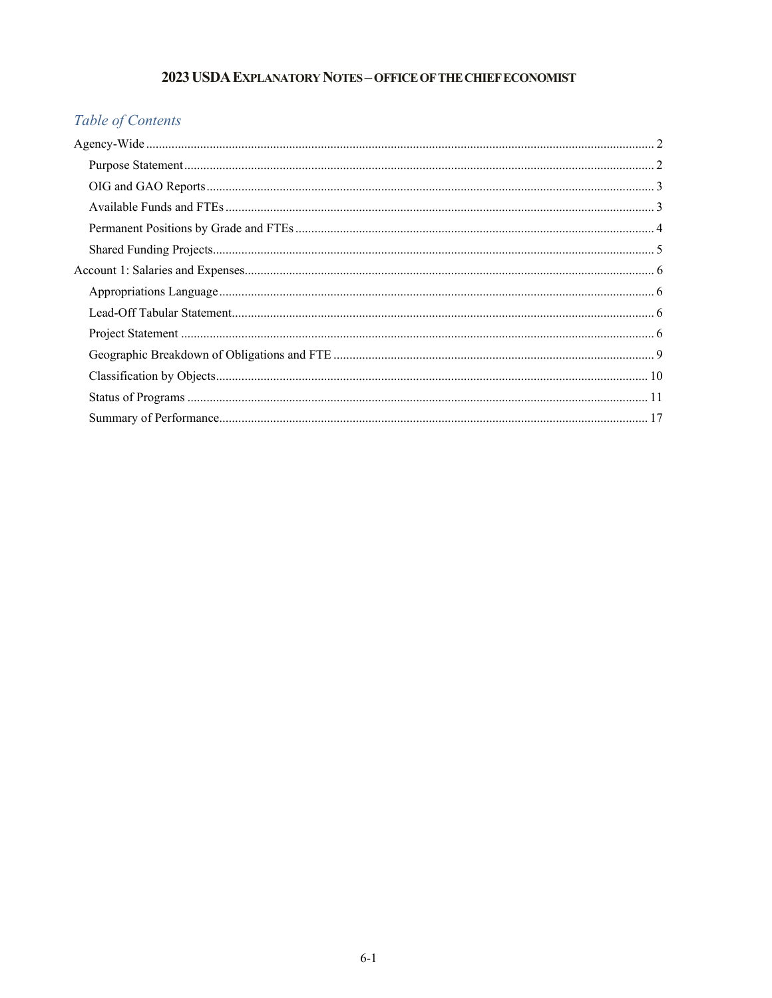## 2023 USDA EXPLANATORY NOTES - OFFICE OF THE CHIEF ECONOMIST

# Table of Contents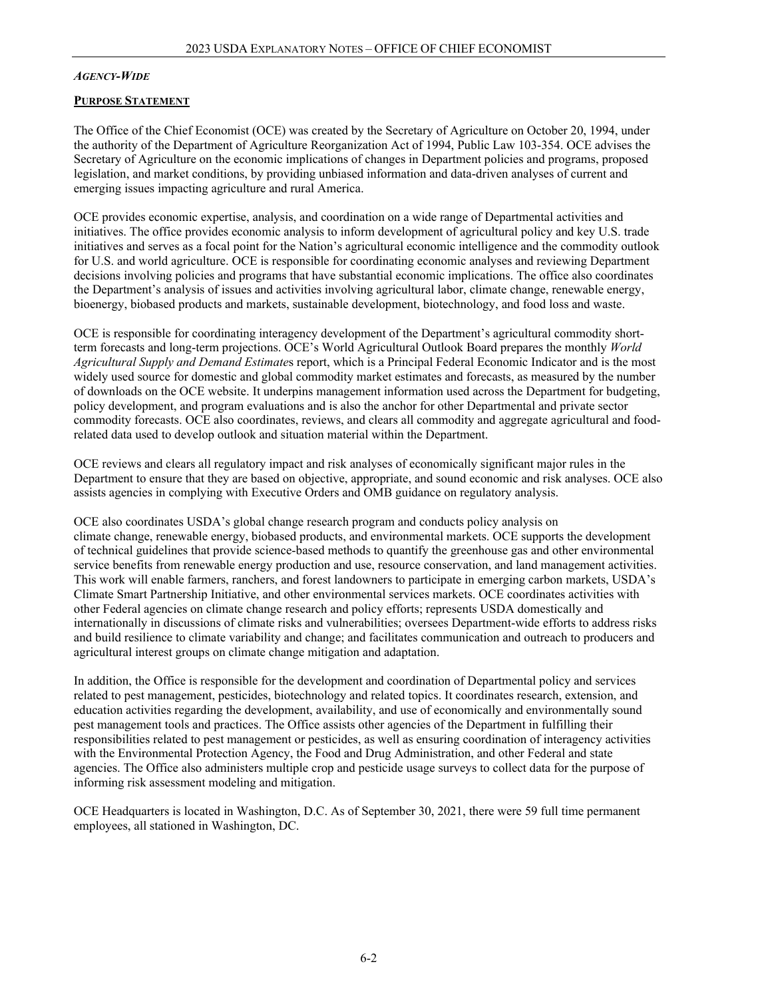#### <span id="page-1-0"></span>*AGENCY-WIDE*

#### <span id="page-1-1"></span>**PURPOSE STATEMENT**

The Office of the Chief Economist (OCE) was created by the Secretary of Agriculture on October 20, 1994, under the authority of the Department of Agriculture Reorganization Act of 1994, Public Law 103-354. OCE advises the Secretary of Agriculture on the economic implications of changes in Department policies and programs, proposed legislation, and market conditions, by providing unbiased information and data-driven analyses of current and emerging issues impacting agriculture and rural America.

OCE provides economic expertise, analysis, and coordination on a wide range of Departmental activities and initiatives. The office provides economic analysis to inform development of agricultural policy and key U.S. trade initiatives and serves as a focal point for the Nation's agricultural economic intelligence and the commodity outlook for U.S. and world agriculture. OCE is responsible for coordinating economic analyses and reviewing Department decisions involving policies and programs that have substantial economic implications. The office also coordinates the Department's analysis of issues and activities involving agricultural labor, climate change, renewable energy, bioenergy, biobased products and markets, sustainable development, biotechnology, and food loss and waste.

OCE is responsible for coordinating interagency development of the Department's agricultural commodity shortterm forecasts and long-term projections. OCE's World Agricultural Outlook Board prepares the monthly *World Agricultural Supply and Demand Estimate*s report, which is a Principal Federal Economic Indicator and is the most widely used source for domestic and global commodity market estimates and forecasts, as measured by the number of downloads on the OCE website. It underpins management information used across the Department for budgeting, policy development, and program evaluations and is also the anchor for other Departmental and private sector commodity forecasts. OCE also coordinates, reviews, and clears all commodity and aggregate agricultural and foodrelated data used to develop outlook and situation material within the Department.

OCE reviews and clears all regulatory impact and risk analyses of economically significant major rules in the Department to ensure that they are based on objective, appropriate, and sound economic and risk analyses. OCE also assists agencies in complying with Executive Orders and OMB guidance on regulatory analysis.

OCE also coordinates USDA's global change research program and conducts policy analysis on climate change, renewable energy, biobased products, and environmental markets. OCE supports the development of technical guidelines that provide science-based methods to quantify the greenhouse gas and other environmental service benefits from renewable energy production and use, resource conservation, and land management activities. This work will enable farmers, ranchers, and forest landowners to participate in emerging carbon markets, USDA's Climate Smart Partnership Initiative, and other environmental services markets. OCE coordinates activities with other Federal agencies on climate change research and policy efforts; represents USDA domestically and internationally in discussions of climate risks and vulnerabilities; oversees Department-wide efforts to address risks and build resilience to climate variability and change; and facilitates communication and outreach to producers and agricultural interest groups on climate change mitigation and adaptation.

In addition, the Office is responsible for the development and coordination of Departmental policy and services related to pest management, pesticides, biotechnology and related topics. It coordinates research, extension, and education activities regarding the development, availability, and use of economically and environmentally sound pest management tools and practices. The Office assists other agencies of the Department in fulfilling their responsibilities related to pest management or pesticides, as well as ensuring coordination of interagency activities with the Environmental Protection Agency, the Food and Drug Administration, and other Federal and state agencies. The Office also administers multiple crop and pesticide usage surveys to collect data for the purpose of informing risk assessment modeling and mitigation.

OCE Headquarters is located in Washington, D.C. As of September 30, 2021, there were 59 full time permanent employees, all stationed in Washington, DC.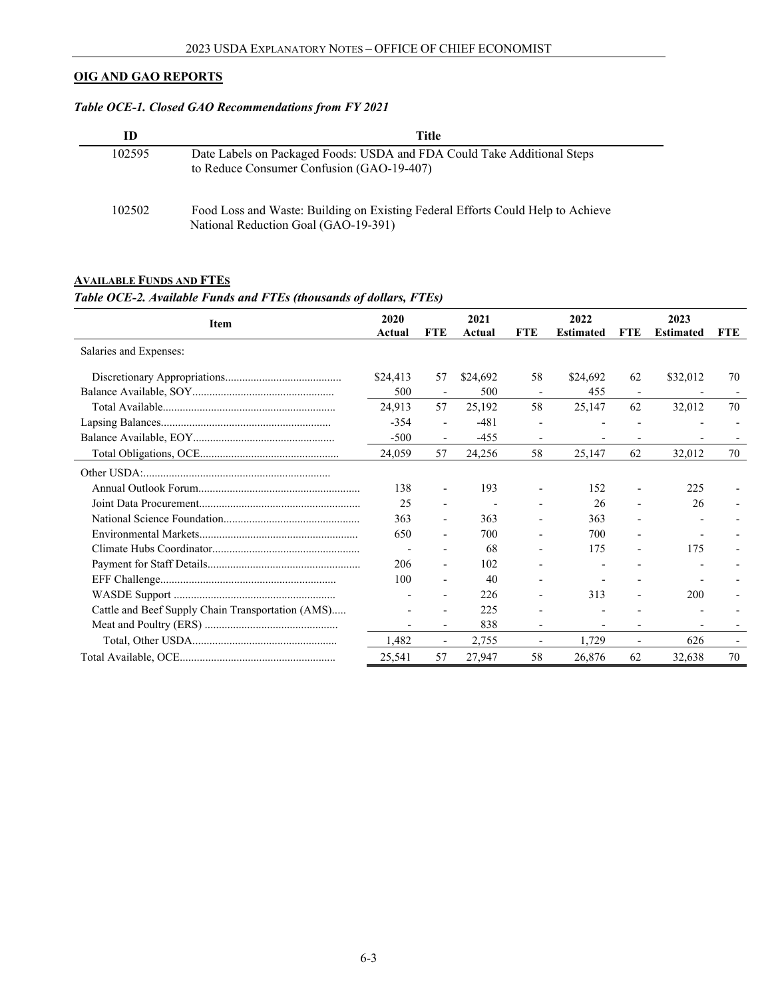## **OIG AND GAO REPORTS**

## *Table OCE-1. Closed GAO Recommendations from FY 2021*

| ID     | Title                                                                                                                   |
|--------|-------------------------------------------------------------------------------------------------------------------------|
| 102595 | Date Labels on Packaged Foods: USDA and FDA Could Take Additional Steps<br>to Reduce Consumer Confusion (GAO-19-407)    |
| 102502 | Food Loss and Waste: Building on Existing Federal Efforts Could Help to Achieve<br>National Reduction Goal (GAO-19-391) |

## <span id="page-2-0"></span>**AVAILABLE FUNDS AND FTES** *Table OCE-2. Available Funds and FTEs (thousands of dollars, FTEs)*

<span id="page-2-1"></span>

| Item                                              | 2020<br>Actual | <b>FTE</b>               | 2021<br>Actual | <b>FTE</b> | 2022<br><b>Estimated</b> | <b>FTE</b> | 2023<br><b>Estimated</b> | <b>FTE</b> |
|---------------------------------------------------|----------------|--------------------------|----------------|------------|--------------------------|------------|--------------------------|------------|
| Salaries and Expenses:                            |                |                          |                |            |                          |            |                          |            |
|                                                   | \$24,413       | 57                       | \$24,692       | 58         | \$24,692                 | 62         | \$32,012                 | 70         |
|                                                   | 500            | $\overline{\phantom{a}}$ | 500            |            | 455                      |            |                          |            |
|                                                   | 24,913         | 57                       | 25,192         | 58         | 25,147                   | 62         | 32,012                   | 70         |
|                                                   | $-354$         | $\overline{\phantom{a}}$ | $-481$         |            |                          |            |                          |            |
|                                                   | $-500$         | $\overline{\phantom{a}}$ | $-455$         |            |                          |            |                          |            |
|                                                   | 24,059         | 57                       | 24,256         | 58         | 25,147                   | 62         | 32,012                   | 70         |
|                                                   |                |                          |                |            |                          |            |                          |            |
|                                                   | 138            | $\overline{\phantom{a}}$ | 193            |            | 152                      |            | 225                      |            |
|                                                   | 25             | $\overline{\phantom{a}}$ |                |            | 26                       |            | 26                       |            |
|                                                   | 363            |                          | 363            |            | 363                      |            |                          |            |
|                                                   | 650            | $\overline{\phantom{a}}$ | 700            |            | 700                      |            |                          |            |
|                                                   |                |                          | 68             |            | 175                      |            | 175                      |            |
|                                                   | 206            | $\blacksquare$           | 102            |            |                          |            |                          |            |
|                                                   | 100            | $\blacksquare$           | 40             |            |                          |            |                          |            |
|                                                   |                | $\overline{a}$           | 226            |            | 313                      |            | 200                      |            |
| Cattle and Beef Supply Chain Transportation (AMS) |                |                          | 225            |            |                          |            |                          |            |
|                                                   |                | $\overline{\phantom{a}}$ | 838            |            |                          |            |                          |            |
|                                                   | 1,482          | $\overline{\phantom{a}}$ | 2,755          |            | 1,729                    |            | 626                      |            |
|                                                   | 25,541         | 57                       | 27,947         | 58         | 26,876                   | 62         | 32,638                   | 70         |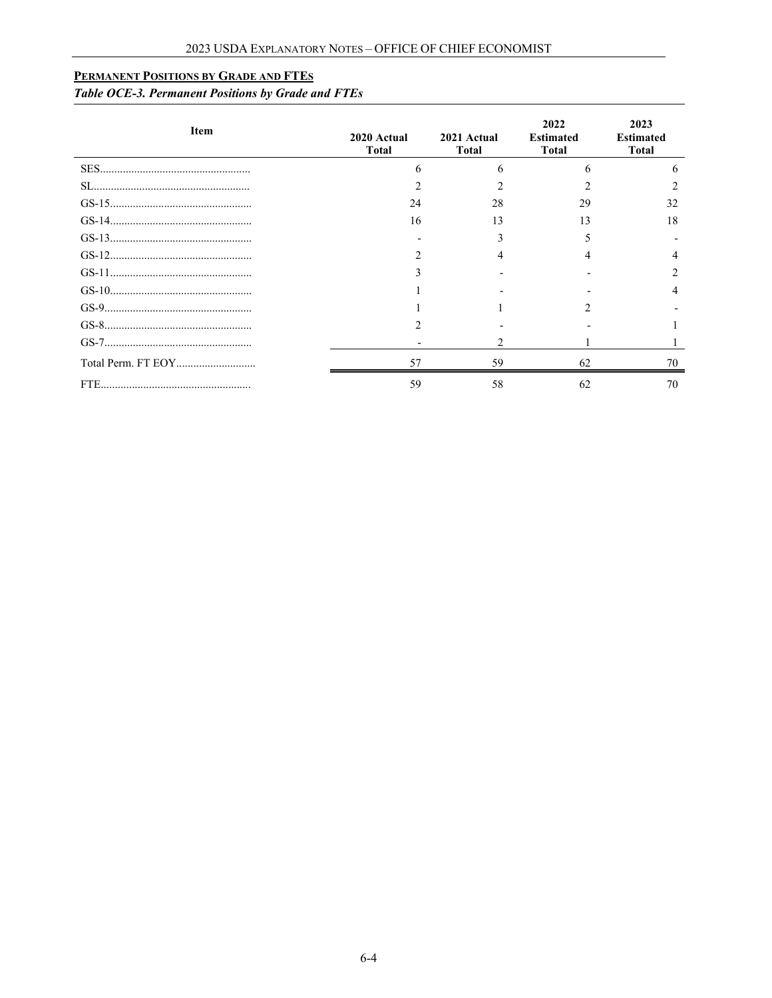## **PERMANENT POSITIONS BY GRADE AND FTES**

## *Table OCE-3. Permanent Positions by Grade and FTEs*

| Item | 2020 Actual<br><b>Total</b> | 2021 Actual<br><b>Total</b> | 2022<br><b>Estimated</b><br><b>Total</b> | 2023<br><b>Estimated</b><br><b>Total</b> |
|------|-----------------------------|-----------------------------|------------------------------------------|------------------------------------------|
|      |                             |                             |                                          |                                          |
|      |                             |                             |                                          |                                          |
|      | 24                          | 28                          | 29                                       | 32                                       |
|      | 16                          | 13                          | 13                                       |                                          |
|      |                             |                             |                                          |                                          |
|      |                             |                             |                                          |                                          |
|      |                             |                             |                                          |                                          |
|      |                             |                             |                                          |                                          |
|      |                             |                             |                                          |                                          |
|      |                             |                             |                                          |                                          |
|      |                             |                             |                                          |                                          |
|      | 57                          | 59                          | 62                                       |                                          |
|      | 59                          | 58                          | 62                                       | 70                                       |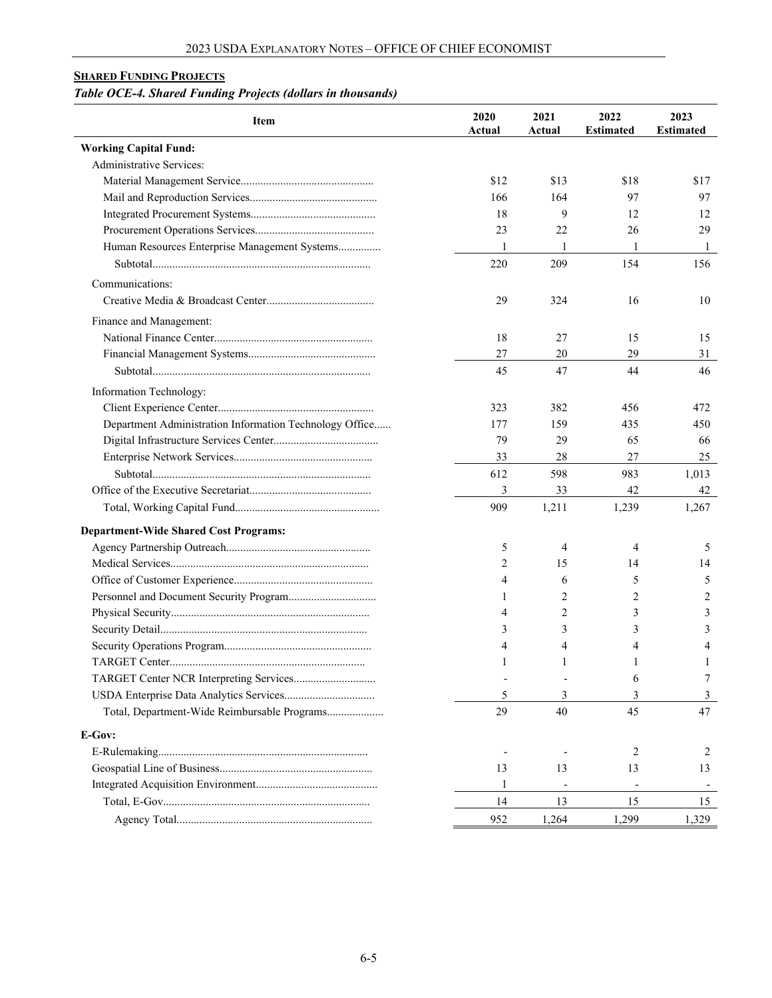## <span id="page-4-0"></span>**SHARED FUNDING PROJECTS**

## *Table OCE-4. Shared Funding Projects (dollars in thousands)*

| Item                                                    | 2020<br>Actual | 2021<br>Actual | 2022<br><b>Estimated</b> | 2023<br><b>Estimated</b> |
|---------------------------------------------------------|----------------|----------------|--------------------------|--------------------------|
| <b>Working Capital Fund:</b>                            |                |                |                          |                          |
| <b>Administrative Services:</b>                         |                |                |                          |                          |
|                                                         | \$12           | \$13           | \$18                     | \$17                     |
|                                                         | 166            | 164            | 97                       | 97                       |
|                                                         | 18             | 9              | 12                       | 12                       |
|                                                         | 23             | 22             | 26                       | 29                       |
| Human Resources Enterprise Management Systems           | 1              | 1              | 1                        | 1                        |
|                                                         | 220            | 209            | 154                      | 156                      |
| Communications:                                         |                |                |                          |                          |
|                                                         | 29             | 324            | 16                       | 10                       |
| Finance and Management:                                 |                |                |                          |                          |
|                                                         | 18             | 27             | 15                       | 15                       |
|                                                         | 27             | 20             | 29                       | 31                       |
|                                                         | 45             | 47             | 44                       | 46                       |
|                                                         |                |                |                          |                          |
| Information Technology:                                 |                |                |                          |                          |
|                                                         | 323            | 382            | 456                      | 472                      |
| Department Administration Information Technology Office | 177            | 159            | 435                      | 450                      |
|                                                         | 79             | 29             | 65                       | 66                       |
|                                                         | 33             | 28             | 27                       | 25                       |
|                                                         | 612            | 598            | 983                      | 1,013                    |
|                                                         | 3              | 33             | 42                       | 42                       |
|                                                         | 909            | 1,211          | 1,239                    | 1,267                    |
| <b>Department-Wide Shared Cost Programs:</b>            |                |                |                          |                          |
|                                                         | 5              | 4              | 4                        | 5                        |
|                                                         | 2              | 15             | 14                       | 14                       |
|                                                         | 4              | 6              | 5                        | 5                        |
|                                                         | 1              | 2              | 2                        | 2                        |
|                                                         | 4              | 2              | 3                        | 3                        |
|                                                         | 3              | 3              | 3                        | 3                        |
|                                                         | 4              | 4              | 4                        | 4                        |
|                                                         | 1              | 1              | 1                        | 1                        |
|                                                         |                |                | 6                        | 7                        |
|                                                         | 5              | 3              | 3                        | 3                        |
| Total, Department-Wide Reimbursable Programs            | 29             | 40             | 45                       | 47                       |
| E-Gov:                                                  |                |                |                          |                          |
|                                                         |                |                | 2                        | 2                        |
|                                                         | 13             | 13             | 13                       | 13                       |
|                                                         | 1              |                |                          |                          |
|                                                         | 14             | 13             | 15                       | 15                       |
|                                                         | 952            | 1,264          | 1,299                    | 1,329                    |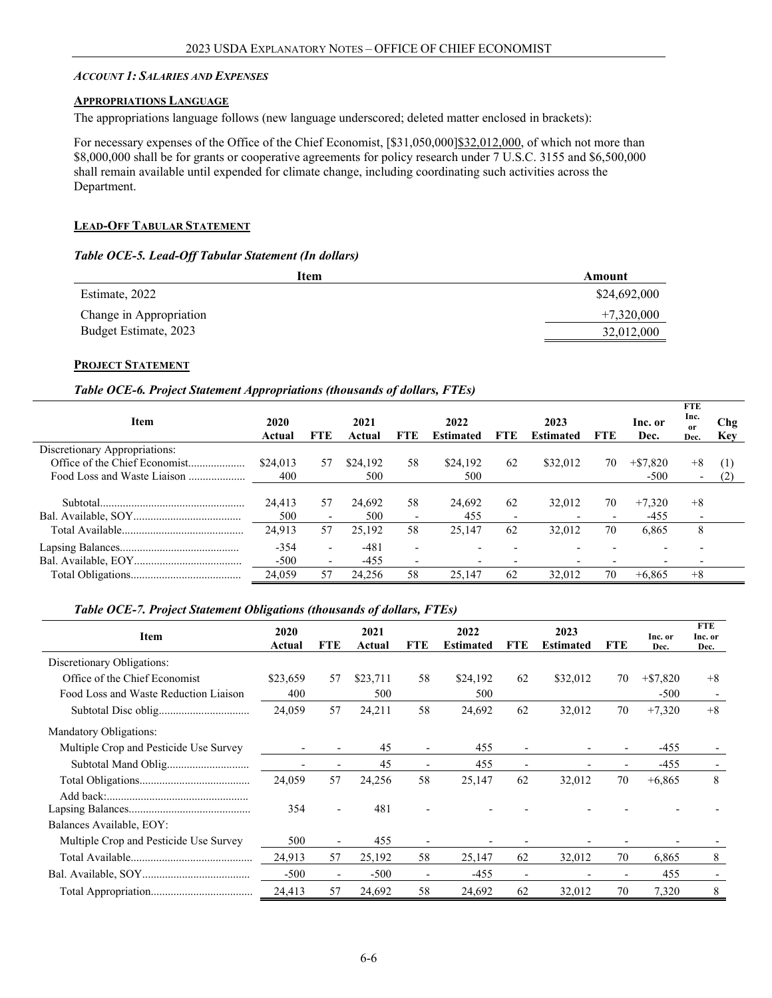#### <span id="page-5-0"></span>*ACCOUNT 1: SALARIES AND EXPENSES*

#### <span id="page-5-1"></span>**APPROPRIATIONS LANGUAGE**

The appropriations language follows (new language underscored; deleted matter enclosed in brackets):

For necessary expenses of the Office of the Chief Economist,  $\frac{\frac{531,050,000}{\frac{322,012,000}}}{\frac{532,012,000}{\frac{323,012,000}{\frac{323,012,000}{\frac{323,012,000}{\frac{323,012,000}{\frac{323,012,000}{\frac{323,012,000}{\frac{323,012,000}{\frac{323,$ \$8,000,000 shall be for grants or cooperative agreements for policy research under 7 U.S.C. 3155 and \$6,500,000 shall remain available until expended for climate change, including coordinating such activities across the Department.

#### <span id="page-5-2"></span>**LEAD-OFF TABULAR STATEMENT**

#### *Table OCE-5. Lead-Off Tabular Statement (In dollars)*

<span id="page-5-3"></span>

| Item                    | Amount       |
|-------------------------|--------------|
| Estimate, 2022          | \$24,692,000 |
| Change in Appropriation | $+7,320,000$ |
| Budget Estimate, 2023   | 32,012,000   |

#### **PROJECT STATEMENT**

#### *Table OCE-6. Project Statement Appropriations (thousands of dollars, FTEs)*

| Item                          | 2020<br>Actual | <b>FTE</b>               | 2021<br>Actual | <b>FTE</b>               | 2022<br>Estimated | <b>FTE</b>               | 2023<br><b>Estimated</b> | <b>FTE</b> | Inc. or<br>Dec. | <b>FTE</b><br>Inc.<br><sub>or</sub><br>Dec. | Chg<br>Key |
|-------------------------------|----------------|--------------------------|----------------|--------------------------|-------------------|--------------------------|--------------------------|------------|-----------------|---------------------------------------------|------------|
| Discretionary Appropriations: |                |                          |                |                          |                   |                          |                          |            |                 |                                             |            |
| Office of the Chief Economist | \$24,013       | 57                       | \$24,192       | 58                       | \$24,192          | 62                       | \$32,012                 | 70         | $+\$7.820$      | $+8$                                        | (1)        |
| Food Loss and Waste Liaison   | 400            |                          | 500            |                          | 500               |                          |                          |            | $-500$          | $\overline{\phantom{a}}$                    | (2)        |
|                               |                |                          |                |                          |                   |                          |                          |            |                 |                                             |            |
|                               | 24,413         | 57                       | 24,692         | 58                       | 24,692            | 62                       | 32.012                   | 70         | $+7.320$        | $+8$                                        |            |
|                               | 500            | $\overline{\phantom{a}}$ | 500            | $\overline{\phantom{a}}$ | 455               | $\overline{\phantom{0}}$ |                          |            | $-455$          | $\overline{\phantom{0}}$                    |            |
|                               | 24,913         | 57                       | 25.192         | 58                       | 25,147            | 62                       | 32,012                   | 70         | 6,865           | 8                                           |            |
|                               | $-354$         | $\overline{\phantom{0}}$ | $-481$         | $\overline{\phantom{0}}$ |                   |                          |                          |            |                 |                                             |            |
|                               | $-500$         | $\overline{\phantom{a}}$ | $-455$         | $\overline{\phantom{0}}$ |                   |                          |                          |            |                 |                                             |            |
|                               | 24,059         | 57                       | 24,256         | 58                       | 25,147            | 62                       | 32,012                   | 70         | $+6,865$        | $+8$                                        |            |

#### *Table OCE-7. Project Statement Obligations (thousands of dollars, FTEs)*

| Item                                   | 2020<br>Actual           | FTE                      | 2021<br>Actual | <b>FTE</b>               | 2022<br><b>Estimated</b> | <b>FTE</b>               | 2023<br><b>Estimated</b> | <b>FTE</b>               | Inc. or<br>Dec. | <b>FTE</b><br>Inc. or<br>Dec. |
|----------------------------------------|--------------------------|--------------------------|----------------|--------------------------|--------------------------|--------------------------|--------------------------|--------------------------|-----------------|-------------------------------|
| Discretionary Obligations:             |                          |                          |                |                          |                          |                          |                          |                          |                 |                               |
| Office of the Chief Economist          | \$23,659                 | 57                       | \$23,711       | 58                       | \$24,192                 | 62                       | \$32,012                 | 70                       | $+ $7,820$      | $+8$                          |
| Food Loss and Waste Reduction Liaison  | 400                      |                          | 500            |                          | 500                      |                          |                          |                          | $-500$          |                               |
|                                        | 24,059                   | 57                       | 24,211         | 58                       | 24,692                   | 62                       | 32,012                   | 70                       | $+7,320$        | $+8$                          |
| <b>Mandatory Obligations:</b>          |                          |                          |                |                          |                          |                          |                          |                          |                 |                               |
| Multiple Crop and Pesticide Use Survey | $\overline{\phantom{a}}$ | $\overline{\phantom{a}}$ | 45             | $\overline{\phantom{a}}$ | 455                      | $\overline{\phantom{a}}$ |                          | -                        | -455            |                               |
|                                        | $\overline{\phantom{0}}$ | $\overline{\phantom{a}}$ | 45             | $\overline{\phantom{a}}$ | 455                      | $\overline{\phantom{a}}$ |                          | $\overline{\phantom{0}}$ | $-455$          |                               |
|                                        | 24,059                   | 57                       | 24,256         | 58                       | 25,147                   | 62                       | 32,012                   | 70                       | $+6,865$        | 8                             |
|                                        | 354                      | $\overline{\phantom{a}}$ | 481            |                          |                          |                          |                          |                          |                 |                               |
| Balances Available, EOY:               |                          |                          |                |                          |                          |                          |                          |                          |                 |                               |
| Multiple Crop and Pesticide Use Survey | 500                      | $\overline{\phantom{a}}$ | 455            |                          |                          |                          |                          |                          |                 |                               |
|                                        | 24,913                   | 57                       | 25,192         | 58                       | 25,147                   | 62                       | 32,012                   | 70                       | 6,865           | 8                             |
|                                        | $-500$                   | $\overline{\phantom{a}}$ | $-500$         | $\overline{\phantom{0}}$ | $-455$                   | $\overline{\phantom{0}}$ |                          |                          | 455             |                               |
|                                        | 24,413                   | 57                       | 24,692         | 58                       | 24,692                   | 62                       | 32,012                   | 70                       | 7,320           | 8                             |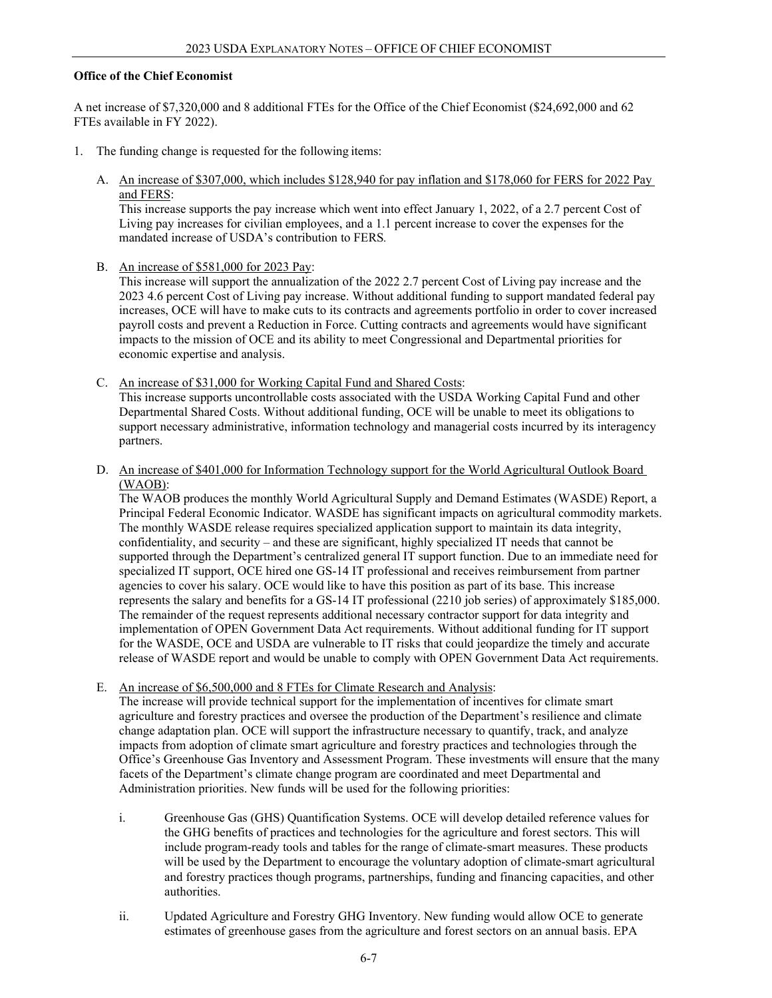#### **Office of the Chief Economist**

A net increase of \$7,320,000 and 8 additional FTEs for the Office of the Chief Economist (\$24,692,000 and 62 FTEs available in FY 2022).

- 1. The funding change is requested for the following items:
	- A. An increase of \$307,000, which includes \$128,940 for pay inflation and \$178,060 for FERS for 2022 Pay and FERS:

This increase supports the pay increase which went into effect January 1, 2022, of a 2.7 percent Cost of Living pay increases for civilian employees, and a 1.1 percent increase to cover the expenses for the mandated increase of USDA's contribution to FERS*.*

B. An increase of \$581,000 for 2023 Pay:

This increase will support the annualization of the 2022 2.7 percent Cost of Living pay increase and the 2023 4.6 percent Cost of Living pay increase. Without additional funding to support mandated federal pay increases, OCE will have to make cuts to its contracts and agreements portfolio in order to cover increased payroll costs and prevent a Reduction in Force. Cutting contracts and agreements would have significant impacts to the mission of OCE and its ability to meet Congressional and Departmental priorities for economic expertise and analysis.

- C. An increase of \$31,000 for Working Capital Fund and Shared Costs: This increase supports uncontrollable costs associated with the USDA Working Capital Fund and other Departmental Shared Costs. Without additional funding, OCE will be unable to meet its obligations to support necessary administrative, information technology and managerial costs incurred by its interagency partners.
- D. An increase of \$401,000 for Information Technology support for the World Agricultural Outlook Board (WAOB):

The WAOB produces the monthly World Agricultural Supply and Demand Estimates (WASDE) Report, a Principal Federal Economic Indicator. WASDE has significant impacts on agricultural commodity markets. The monthly WASDE release requires specialized application support to maintain its data integrity, confidentiality, and security – and these are significant, highly specialized IT needs that cannot be supported through the Department's centralized general IT support function. Due to an immediate need for specialized IT support, OCE hired one GS-14 IT professional and receives reimbursement from partner agencies to cover his salary. OCE would like to have this position as part of its base. This increase represents the salary and benefits for a GS-14 IT professional (2210 job series) of approximately \$185,000. The remainder of the request represents additional necessary contractor support for data integrity and implementation of OPEN Government Data Act requirements. Without additional funding for IT support for the WASDE, OCE and USDA are vulnerable to IT risks that could jeopardize the timely and accurate release of WASDE report and would be unable to comply with OPEN Government Data Act requirements.

E. An increase of \$6,500,000 and 8 FTEs for Climate Research and Analysis:

The increase will provide technical support for the implementation of incentives for climate smart agriculture and forestry practices and oversee the production of the Department's resilience and climate change adaptation plan. OCE will support the infrastructure necessary to quantify, track, and analyze impacts from adoption of climate smart agriculture and forestry practices and technologies through the Office's Greenhouse Gas Inventory and Assessment Program. These investments will ensure that the many facets of the Department's climate change program are coordinated and meet Departmental and Administration priorities. New funds will be used for the following priorities:

- i. Greenhouse Gas (GHS) Quantification Systems. OCE will develop detailed reference values for the GHG benefits of practices and technologies for the agriculture and forest sectors. This will include program-ready tools and tables for the range of climate-smart measures. These products will be used by the Department to encourage the voluntary adoption of climate-smart agricultural and forestry practices though programs, partnerships, funding and financing capacities, and other authorities.
- ii. Updated Agriculture and Forestry GHG Inventory. New funding would allow OCE to generate estimates of greenhouse gases from the agriculture and forest sectors on an annual basis. EPA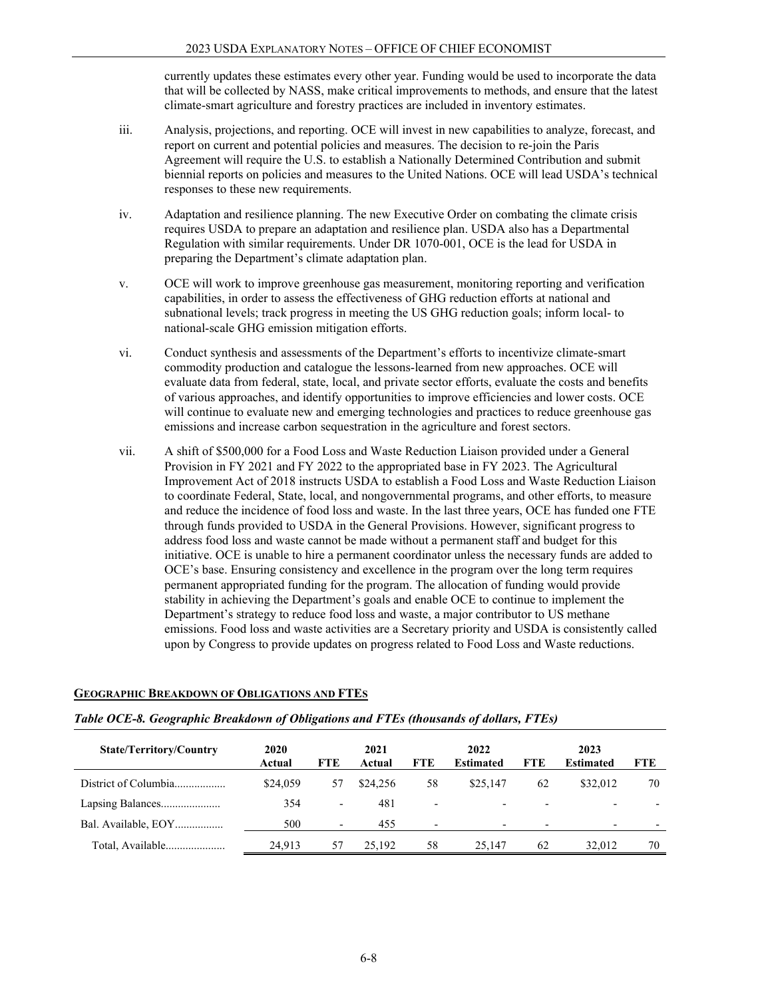currently updates these estimates every other year. Funding would be used to incorporate the data that will be collected by NASS, make critical improvements to methods, and ensure that the latest climate-smart agriculture and forestry practices are included in inventory estimates.

- iii. Analysis, projections, and reporting. OCE will invest in new capabilities to analyze, forecast, and report on current and potential policies and measures. The decision to re-join the Paris Agreement will require the U.S. to establish a Nationally Determined Contribution and submit biennial reports on policies and measures to the United Nations. OCE will lead USDA's technical responses to these new requirements.
- iv. Adaptation and resilience planning. The new Executive Order on combating the climate crisis requires USDA to prepare an adaptation and resilience plan. USDA also has a Departmental Regulation with similar requirements. Under DR 1070-001, OCE is the lead for USDA in preparing the Department's climate adaptation plan.
- v. OCE will work to improve greenhouse gas measurement, monitoring reporting and verification capabilities, in order to assess the effectiveness of GHG reduction efforts at national and subnational levels; track progress in meeting the US GHG reduction goals; inform local- to national-scale GHG emission mitigation efforts.
- vi. Conduct synthesis and assessments of the Department's efforts to incentivize climate-smart commodity production and catalogue the lessons-learned from new approaches. OCE will evaluate data from federal, state, local, and private sector efforts, evaluate the costs and benefits of various approaches, and identify opportunities to improve efficiencies and lower costs. OCE will continue to evaluate new and emerging technologies and practices to reduce greenhouse gas emissions and increase carbon sequestration in the agriculture and forest sectors.
- vii. A shift of \$500,000 for a Food Loss and Waste Reduction Liaison provided under a General Provision in FY 2021 and FY 2022 to the appropriated base in FY 2023. The Agricultural Improvement Act of 2018 instructs USDA to establish a Food Loss and Waste Reduction Liaison to coordinate Federal, State, local, and nongovernmental programs, and other efforts, to measure and reduce the incidence of food loss and waste. In the last three years, OCE has funded one FTE through funds provided to USDA in the General Provisions. However, significant progress to address food loss and waste cannot be made without a permanent staff and budget for this initiative. OCE is unable to hire a permanent coordinator unless the necessary funds are added to OCE's base. Ensuring consistency and excellence in the program over the long term requires permanent appropriated funding for the program. The allocation of funding would provide stability in achieving the Department's goals and enable OCE to continue to implement the Department's strategy to reduce food loss and waste, a major contributor to US methane emissions. Food loss and waste activities are a Secretary priority and USDA is consistently called upon by Congress to provide updates on progress related to Food Loss and Waste reductions.

| <b>State/Territory/Country</b> | 2020<br>Actual | <b>FTE</b>               | 2021<br>Actual | <b>FTE</b>               | 2022<br><b>Estimated</b> | <b>FTE</b>               | 2023<br><b>Estimated</b> | <b>FTE</b> |
|--------------------------------|----------------|--------------------------|----------------|--------------------------|--------------------------|--------------------------|--------------------------|------------|
| District of Columbia           | \$24,059       | 57                       | \$24,256       | 58                       | \$25,147                 | 62                       | \$32,012                 | 70         |
| Lapsing Balances               | 354            | $\overline{\phantom{a}}$ | 481            | $\overline{\phantom{0}}$ | $\overline{\phantom{0}}$ | $\overline{\phantom{a}}$ | $\overline{\phantom{0}}$ |            |
| Bal. Available, EOY            | 500            | $\overline{\phantom{a}}$ | 455            |                          | $\overline{\phantom{0}}$ |                          |                          |            |
| Total, Available               | 24.913         | 57                       | 25,192         | 58                       | 25.147                   | 62                       | 32,012                   | 70         |

#### **GEOGRAPHIC BREAKDOWN OF OBLIGATIONS AND FTES**

#### *Table OCE-8. Geographic Breakdown of Obligations and FTEs (thousands of dollars, FTEs)*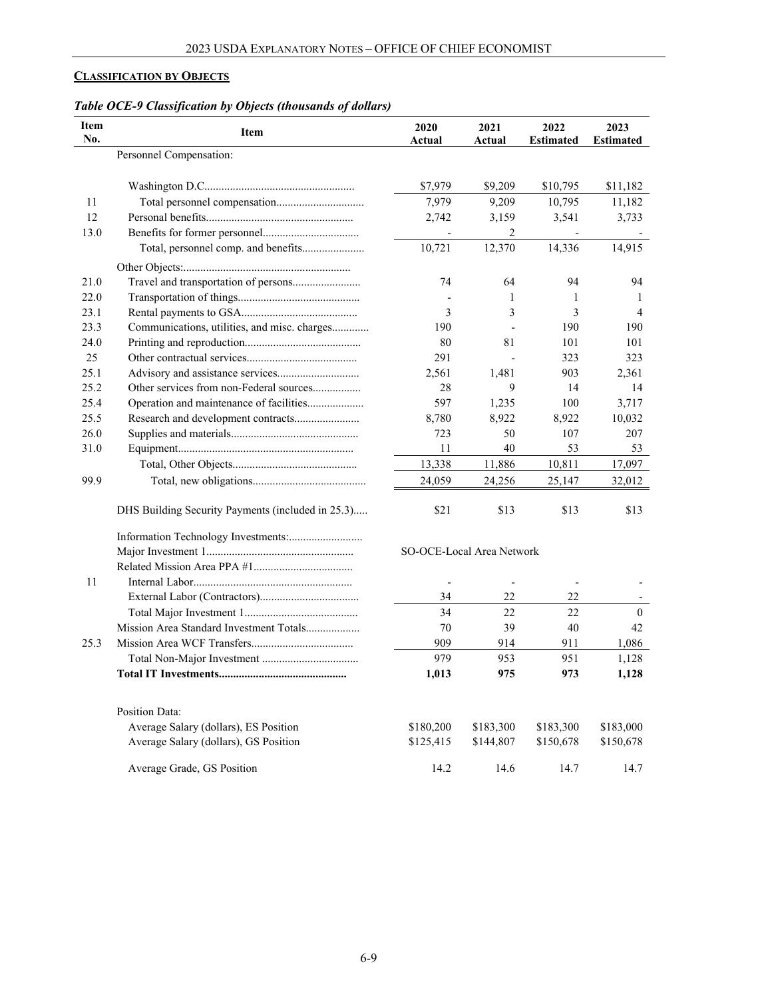## <span id="page-8-0"></span>**CLASSIFICATION BY OBJECTS**

| Table OCE-9 Classification by Objects (thousands of dollars) |  |  |
|--------------------------------------------------------------|--|--|
|                                                              |  |  |

| <b>Item</b><br>No. | <b>Item</b>                                       | 2020<br>Actual            | 2021<br>Actual           | 2022<br><b>Estimated</b> | 2023<br><b>Estimated</b> |
|--------------------|---------------------------------------------------|---------------------------|--------------------------|--------------------------|--------------------------|
|                    | Personnel Compensation:                           |                           |                          |                          |                          |
|                    |                                                   | \$7,979                   | \$9,209                  | \$10,795                 | \$11,182                 |
| 11                 |                                                   | 7,979                     | 9,209                    | 10,795                   | 11,182                   |
| 12                 |                                                   | 2,742                     | 3,159                    | 3,541                    | 3,733                    |
| 13.0               |                                                   |                           | $\overline{2}$           |                          |                          |
|                    | Total, personnel comp. and benefits               | 10,721                    | 12,370                   | 14,336                   | 14,915                   |
|                    |                                                   |                           |                          |                          |                          |
| 21.0               | Travel and transportation of persons              | 74                        | 64                       | 94                       | 94                       |
| 22.0               |                                                   | $\overline{a}$            | 1                        | 1                        | 1                        |
| 23.1               |                                                   | 3                         | 3                        | 3                        | $\overline{4}$           |
| 23.3               | Communications, utilities, and misc. charges      | 190                       |                          | 190                      | 190                      |
| 24.0               |                                                   | 80                        | 81                       | 101                      | 101                      |
| 25                 |                                                   | 291                       |                          | 323                      | 323                      |
| 25.1               |                                                   | 2,561                     | 1,481                    | 903                      | 2,361                    |
| 25.2               | Other services from non-Federal sources           | 28                        | 9                        | 14                       | 14                       |
| 25.4               | Operation and maintenance of facilities           | 597                       | 1,235                    | 100                      | 3,717                    |
| 25.5               |                                                   | 8,780                     | 8,922                    | 8,922                    | 10,032                   |
| 26.0               |                                                   | 723                       | 50                       | 107                      | 207                      |
| 31.0               |                                                   | 11                        | 40                       | 53                       | 53                       |
|                    |                                                   | 13,338                    | 11,886                   | 10,811                   | 17,097                   |
| 99.9               |                                                   | 24,059                    | 24,256                   | 25,147                   | 32,012                   |
|                    | DHS Building Security Payments (included in 25.3) | \$21                      | \$13                     | \$13                     | \$13                     |
|                    |                                                   |                           |                          |                          |                          |
|                    |                                                   | SO-OCE-Local Area Network |                          |                          |                          |
|                    |                                                   |                           |                          |                          |                          |
| 11                 |                                                   |                           | $\overline{\phantom{a}}$ |                          |                          |
|                    |                                                   | 34                        | 22                       | 22                       |                          |
|                    |                                                   | 34                        | 22                       | 22                       | $\mathbf{0}$             |
|                    | Mission Area Standard Investment Totals           | 70                        | 39                       | 40                       | 42                       |
| 25.3               |                                                   | 909                       | 914                      | 911                      | 1,086                    |
|                    |                                                   | 979                       | 953                      | 951                      | 1,128                    |
|                    |                                                   | 1,013                     | 975                      | 973                      | 1,128                    |
|                    | <b>Position Data:</b>                             |                           |                          |                          |                          |
|                    | Average Salary (dollars), ES Position             | \$180,200                 | \$183,300                | \$183,300                | \$183,000                |
|                    | Average Salary (dollars), GS Position             | \$125,415                 | \$144,807                | \$150,678                | \$150,678                |
|                    | Average Grade, GS Position                        | 14.2                      | 14.6                     | 14.7                     | 14.7                     |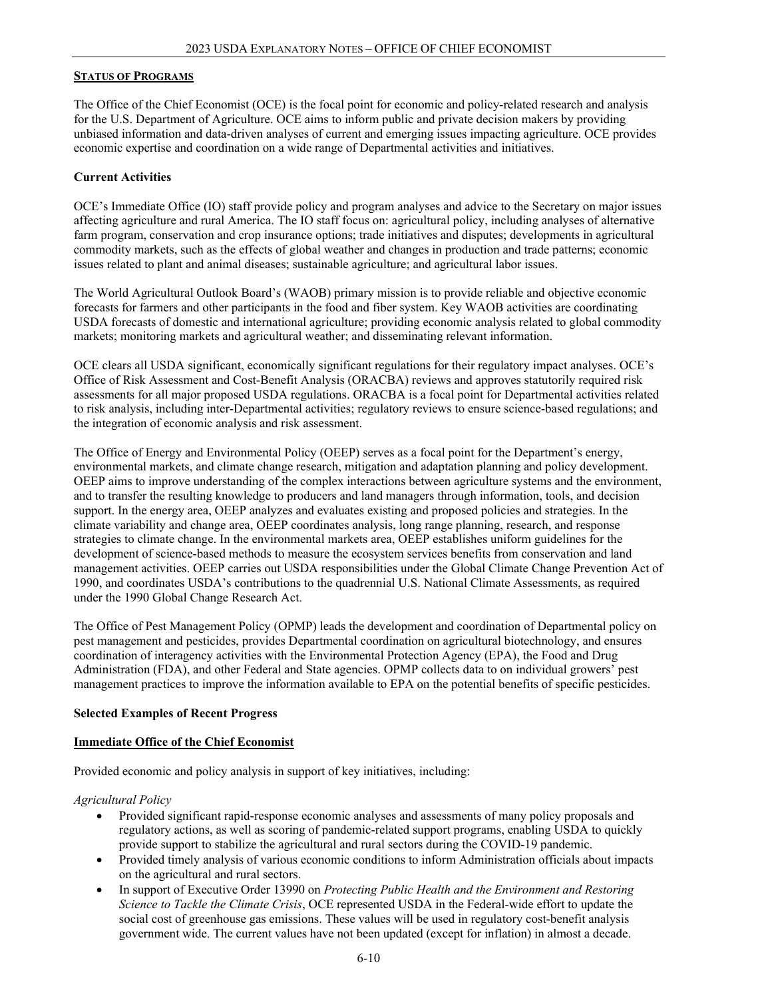#### **STATUS OF PROGRAMS**

The Office of the Chief Economist (OCE) is the focal point for economic and policy-related research and analysis for the U.S. Department of Agriculture. OCE aims to inform public and private decision makers by providing unbiased information and data-driven analyses of current and emerging issues impacting agriculture. OCE provides economic expertise and coordination on a wide range of Departmental activities and initiatives.

#### **Current Activities**

OCE's Immediate Office (IO) staff provide policy and program analyses and advice to the Secretary on major issues affecting agriculture and rural America. The IO staff focus on: agricultural policy, including analyses of alternative farm program, conservation and crop insurance options; trade initiatives and disputes; developments in agricultural commodity markets, such as the effects of global weather and changes in production and trade patterns; economic issues related to plant and animal diseases; sustainable agriculture; and agricultural labor issues.

The World Agricultural Outlook Board's (WAOB) primary mission is to provide reliable and objective economic forecasts for farmers and other participants in the food and fiber system. Key WAOB activities are coordinating USDA forecasts of domestic and international agriculture; providing economic analysis related to global commodity markets; monitoring markets and agricultural weather; and disseminating relevant information.

OCE clears all USDA significant, economically significant regulations for their regulatory impact analyses. OCE's Office of Risk Assessment and Cost-Benefit Analysis (ORACBA) reviews and approves statutorily required risk assessments for all major proposed USDA regulations. ORACBA is a focal point for Departmental activities related to risk analysis, including inter-Departmental activities; regulatory reviews to ensure science-based regulations; and the integration of economic analysis and risk assessment.

The Office of Energy and Environmental Policy (OEEP) serves as a focal point for the Department's energy, environmental markets, and climate change research, mitigation and adaptation planning and policy development. OEEP aims to improve understanding of the complex interactions between agriculture systems and the environment, and to transfer the resulting knowledge to producers and land managers through information, tools, and decision support. In the energy area, OEEP analyzes and evaluates existing and proposed policies and strategies. In the climate variability and change area, OEEP coordinates analysis, long range planning, research, and response strategies to climate change. In the environmental markets area, OEEP establishes uniform guidelines for the development of science-based methods to measure the ecosystem services benefits from conservation and land management activities. OEEP carries out USDA responsibilities under the Global Climate Change Prevention Act of 1990, and coordinates USDA's contributions to the quadrennial U.S. National Climate Assessments, as required under the 1990 Global Change Research Act.

The Office of Pest Management Policy (OPMP) leads the development and coordination of Departmental policy on pest management and pesticides, provides Departmental coordination on agricultural biotechnology, and ensures coordination of interagency activities with the Environmental Protection Agency (EPA), the Food and Drug Administration (FDA), and other Federal and State agencies. OPMP collects data to on individual growers' pest management practices to improve the information available to EPA on the potential benefits of specific pesticides.

#### **Selected Examples of Recent Progress**

#### **Immediate Office of the Chief Economist**

Provided economic and policy analysis in support of key initiatives, including:

*Agricultural Policy*

- Provided significant rapid-response economic analyses and assessments of many policy proposals and regulatory actions, as well as scoring of pandemic-related support programs, enabling USDA to quickly provide support to stabilize the agricultural and rural sectors during the COVID-19 pandemic.
- Provided timely analysis of various economic conditions to inform Administration officials about impacts on the agricultural and rural sectors.
- In support of Executive Order 13990 on *Protecting Public Health and the Environment and Restoring Science to Tackle the Climate Crisis*, OCE represented USDA in the Federal-wide effort to update the social cost of greenhouse gas emissions. These values will be used in regulatory cost-benefit analysis government wide. The current values have not been updated (except for inflation) in almost a decade.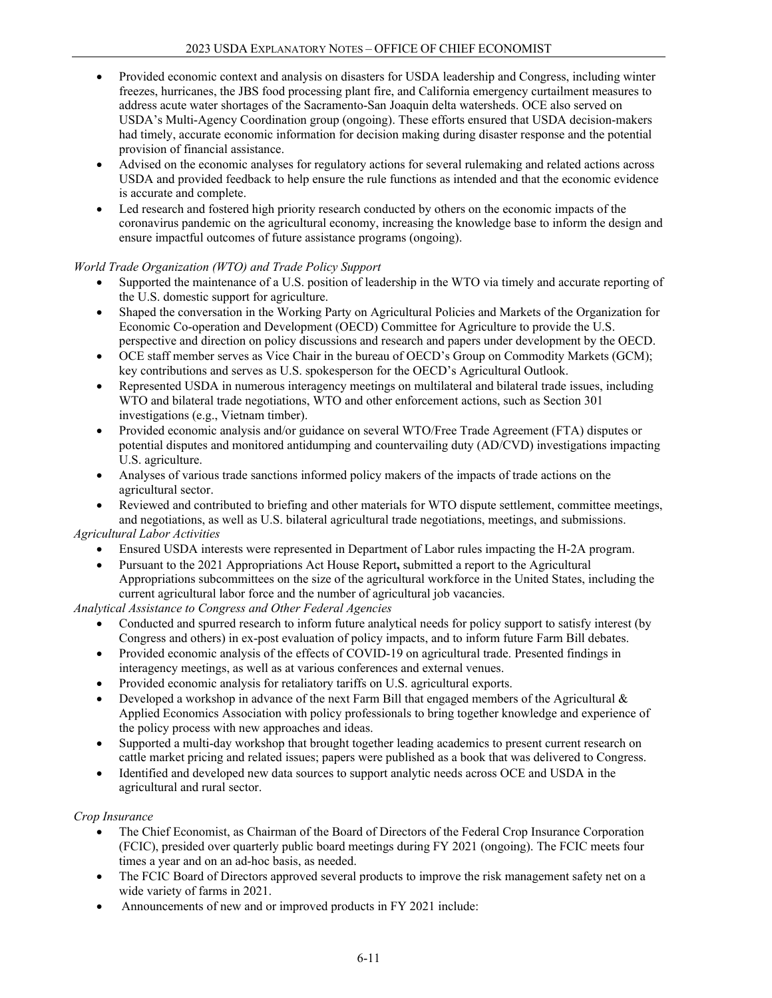- Provided economic context and analysis on disasters for USDA leadership and Congress, including winter freezes, hurricanes, the JBS food processing plant fire, and California emergency curtailment measures to address acute water shortages of the Sacramento-San Joaquin delta watersheds. OCE also served on USDA's Multi-Agency Coordination group (ongoing). These efforts ensured that USDA decision-makers had timely, accurate economic information for decision making during disaster response and the potential provision of financial assistance.
- Advised on the economic analyses for regulatory actions for several rulemaking and related actions across USDA and provided feedback to help ensure the rule functions as intended and that the economic evidence is accurate and complete.
- Led research and fostered high priority research conducted by others on the economic impacts of the coronavirus pandemic on the agricultural economy, increasing the knowledge base to inform the design and ensure impactful outcomes of future assistance programs (ongoing).

## *World Trade Organization (WTO) and Trade Policy Support*

- Supported the maintenance of a U.S. position of leadership in the WTO via timely and accurate reporting of the U.S. domestic support for agriculture.
- Shaped the conversation in the Working Party on Agricultural Policies and Markets of the Organization for Economic Co-operation and Development (OECD) Committee for Agriculture to provide the U.S. perspective and direction on policy discussions and research and papers under development by the OECD.
- OCE staff member serves as Vice Chair in the bureau of OECD's Group on Commodity Markets (GCM); key contributions and serves as U.S. spokesperson for the OECD's Agricultural Outlook.
- Represented USDA in numerous interagency meetings on multilateral and bilateral trade issues, including WTO and bilateral trade negotiations, WTO and other enforcement actions, such as Section 301 investigations (e.g., Vietnam timber).
- Provided economic analysis and/or guidance on several WTO/Free Trade Agreement (FTA) disputes or potential disputes and monitored antidumping and countervailing duty (AD/CVD) investigations impacting U.S. agriculture.
- Analyses of various trade sanctions informed policy makers of the impacts of trade actions on the agricultural sector.
- Reviewed and contributed to briefing and other materials for WTO dispute settlement, committee meetings, and negotiations, as well as U.S. bilateral agricultural trade negotiations, meetings, and submissions.

## *Agricultural Labor Activities*

- Ensured USDA interests were represented in Department of Labor rules impacting the H-2A program.
- Pursuant to the 2021 Appropriations Act House Report**,** submitted a report to the Agricultural Appropriations subcommittees on the size of the agricultural workforce in the United States, including the current agricultural labor force and the number of agricultural job vacancies.

*Analytical Assistance to Congress and Other Federal Agencies*

- Conducted and spurred research to inform future analytical needs for policy support to satisfy interest (by Congress and others) in ex-post evaluation of policy impacts, and to inform future Farm Bill debates.
- Provided economic analysis of the effects of COVID-19 on agricultural trade. Presented findings in interagency meetings, as well as at various conferences and external venues.
- Provided economic analysis for retaliatory tariffs on U.S. agricultural exports.
- Developed a workshop in advance of the next Farm Bill that engaged members of the Agricultural  $\&$ Applied Economics Association with policy professionals to bring together knowledge and experience of the policy process with new approaches and ideas.
- Supported a multi-day workshop that brought together leading academics to present current research on cattle market pricing and related issues; papers were published as a book that was delivered to Congress.
- Identified and developed new data sources to support analytic needs across OCE and USDA in the agricultural and rural sector.

#### *Crop Insurance*

- The Chief Economist, as Chairman of the Board of Directors of the Federal Crop Insurance Corporation (FCIC), presided over quarterly public board meetings during FY 2021 (ongoing). The FCIC meets four times a year and on an ad-hoc basis, as needed.
- The FCIC Board of Directors approved several products to improve the risk management safety net on a wide variety of farms in 2021.
- Announcements of new and or improved products in FY 2021 include: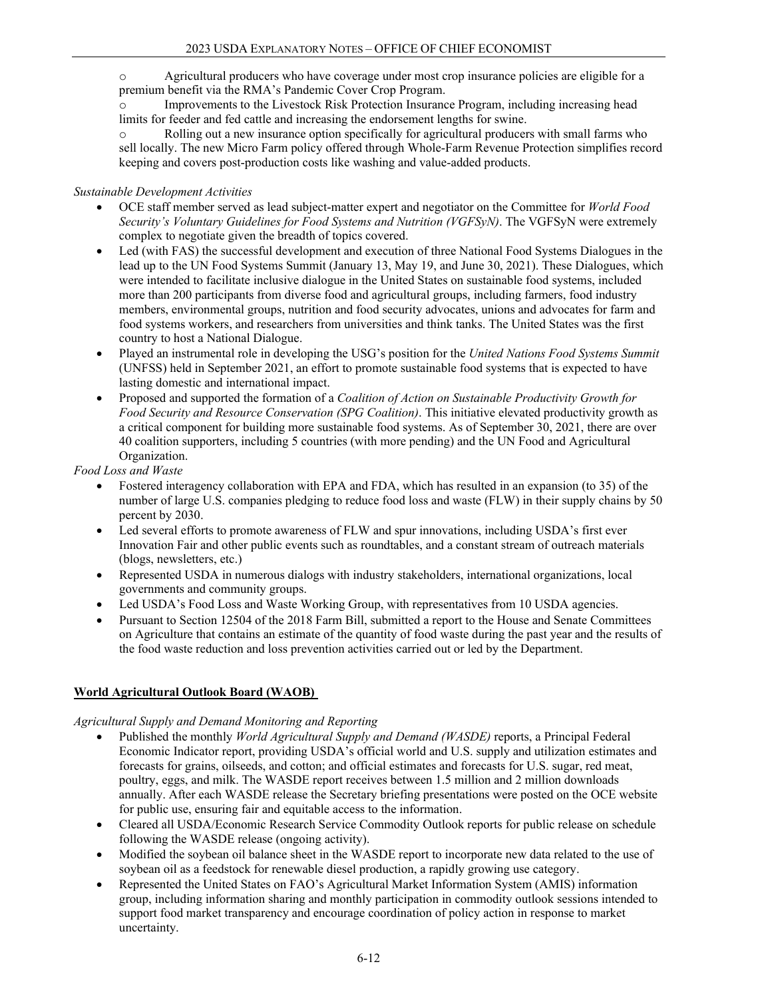o Agricultural producers who have coverage under most crop insurance policies are eligible for a premium benefit via the RMA's Pandemic Cover Crop Program.

Improvements to the Livestock Risk Protection Insurance Program, including increasing head limits for feeder and fed cattle and increasing the endorsement lengths for swine.

o Rolling out a new insurance option specifically for agricultural producers with small farms who sell locally. The new Micro Farm policy offered through Whole-Farm Revenue Protection simplifies record keeping and covers post-production costs like washing and value-added products.

#### *Sustainable Development Activities*

- OCE staff member served as lead subject-matter expert and negotiator on the Committee for *World Food Security's Voluntary Guidelines for Food Systems and Nutrition (VGFSyN)*. The VGFSyN were extremely complex to negotiate given the breadth of topics covered.
- Led (with FAS) the successful development and execution of three National Food Systems Dialogues in the lead up to the UN Food Systems Summit (January 13, May 19, and June 30, 2021). These Dialogues, which were intended to facilitate inclusive dialogue in the United States on sustainable food systems, included more than 200 participants from diverse food and agricultural groups, including farmers, food industry members, environmental groups, nutrition and food security advocates, unions and advocates for farm and food systems workers, and researchers from universities and think tanks. The United States was the first country to host a National Dialogue.
- Played an instrumental role in developing the USG's position for the *United Nations Food Systems Summit* (UNFSS) held in September 2021, an effort to promote sustainable food systems that is expected to have lasting domestic and international impact.
- Proposed and supported the formation of a *Coalition of Action on Sustainable Productivity Growth for Food Security and Resource Conservation (SPG Coalition)*. This initiative elevated productivity growth as a critical component for building more sustainable food systems. As of September 30, 2021, there are over 40 coalition supporters, including 5 countries (with more pending) and the UN Food and Agricultural Organization.

*Food Loss and Waste*

- Fostered interagency collaboration with EPA and FDA, which has resulted in an expansion (to 35) of the number of large U.S. companies pledging to reduce food loss and waste (FLW) in their supply chains by 50 percent by 2030.
- Led several efforts to promote awareness of FLW and spur innovations, including USDA's first ever Innovation Fair and other public events such as roundtables, and a constant stream of outreach materials (blogs, newsletters, etc.)
- Represented USDA in numerous dialogs with industry stakeholders, international organizations, local governments and community groups.
- Led USDA's Food Loss and Waste Working Group, with representatives from 10 USDA agencies.
- Pursuant to Section 12504 of the 2018 Farm Bill, submitted a report to the House and Senate Committees on Agriculture that contains an estimate of the quantity of food waste during the past year and the results of the food waste reduction and loss prevention activities carried out or led by the Department.

## **World Agricultural Outlook Board (WAOB)**

#### *Agricultural Supply and Demand Monitoring and Reporting*

- Published the monthly *World Agricultural Supply and Demand (WASDE)* reports, a Principal Federal Economic Indicator report, providing USDA's official world and U.S. supply and utilization estimates and forecasts for grains, oilseeds, and cotton; and official estimates and forecasts for U.S. sugar, red meat, poultry, eggs, and milk. The WASDE report receives between 1.5 million and 2 million downloads annually. After each WASDE release the Secretary briefing presentations were posted on the OCE website for public use, ensuring fair and equitable access to the information.
- Cleared all USDA/Economic Research Service Commodity Outlook reports for public release on schedule following the WASDE release (ongoing activity).
- Modified the soybean oil balance sheet in the WASDE report to incorporate new data related to the use of soybean oil as a feedstock for renewable diesel production, a rapidly growing use category.
- Represented the United States on FAO's Agricultural Market Information System (AMIS) information group, including information sharing and monthly participation in commodity outlook sessions intended to support food market transparency and encourage coordination of policy action in response to market uncertainty.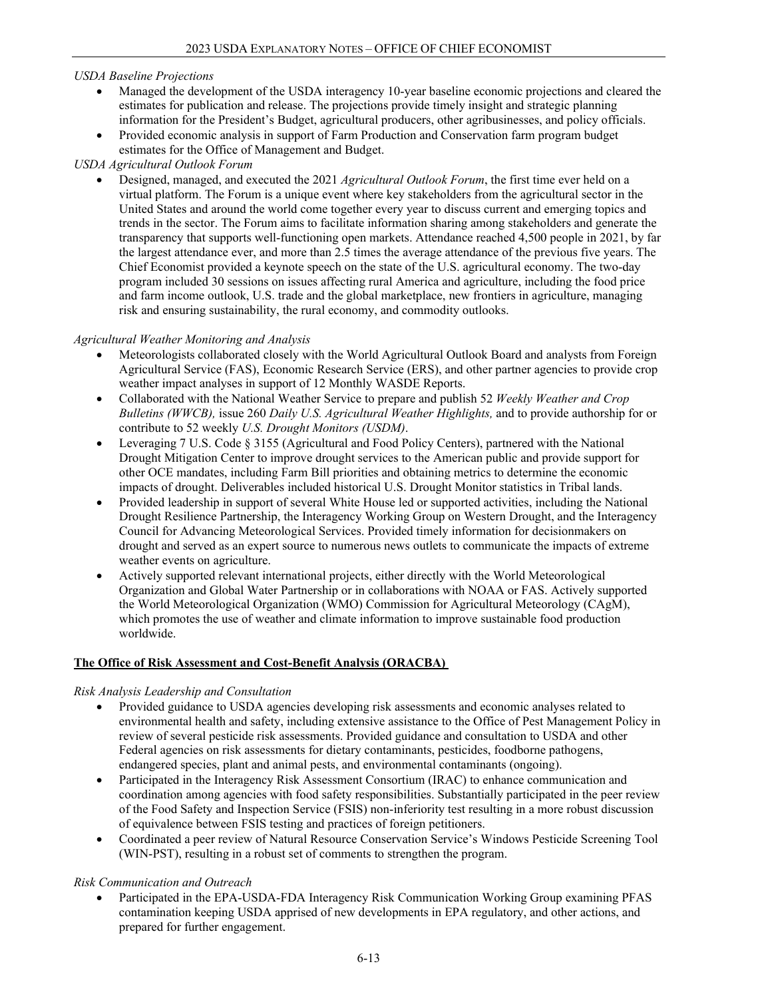#### *USDA Baseline Projections*

- Managed the development of the USDA interagency 10-year baseline economic projections and cleared the estimates for publication and release. The projections provide timely insight and strategic planning information for the President's Budget, agricultural producers, other agribusinesses, and policy officials.
- Provided economic analysis in support of Farm Production and Conservation farm program budget estimates for the Office of Management and Budget.

#### *USDA Agricultural Outlook Forum*

• Designed, managed, and executed the 2021 *Agricultural Outlook Forum*, the first time ever held on a virtual platform. The Forum is a unique event where key stakeholders from the agricultural sector in the United States and around the world come together every year to discuss current and emerging topics and trends in the sector. The Forum aims to facilitate information sharing among stakeholders and generate the transparency that supports well-functioning open markets. Attendance reached 4,500 people in 2021, by far the largest attendance ever, and more than 2.5 times the average attendance of the previous five years. The Chief Economist provided a keynote speech on the state of the U.S. agricultural economy. The two-day program included 30 sessions on issues affecting rural America and agriculture, including the food price and farm income outlook, U.S. trade and the global marketplace, new frontiers in agriculture, managing risk and ensuring sustainability, the rural economy, and commodity outlooks.

## *Agricultural Weather Monitoring and Analysis*

- Meteorologists collaborated closely with the World Agricultural Outlook Board and analysts from Foreign Agricultural Service (FAS), Economic Research Service (ERS), and other partner agencies to provide crop weather impact analyses in support of 12 Monthly WASDE Reports.
- Collaborated with the National Weather Service to prepare and publish 52 *Weekly Weather and Crop Bulletins (WWCB),* issue 260 *Daily U.S. Agricultural Weather Highlights,* and to provide authorship for or contribute to 52 weekly *U.S. Drought Monitors (USDM)*.
- Leveraging 7 U.S. Code § 3155 (Agricultural and Food Policy Centers), partnered with the National Drought Mitigation Center to improve drought services to the American public and provide support for other OCE mandates, including Farm Bill priorities and obtaining metrics to determine the economic impacts of drought. Deliverables included historical U.S. Drought Monitor statistics in Tribal lands.
- Provided leadership in support of several White House led or supported activities, including the National Drought Resilience Partnership, the Interagency Working Group on Western Drought, and the Interagency Council for Advancing Meteorological Services. Provided timely information for decisionmakers on drought and served as an expert source to numerous news outlets to communicate the impacts of extreme weather events on agriculture.
- Actively supported relevant international projects, either directly with the World Meteorological Organization and Global Water Partnership or in collaborations with NOAA or FAS. Actively supported the World Meteorological Organization (WMO) Commission for Agricultural Meteorology (CAgM), which promotes the use of weather and climate information to improve sustainable food production worldwide.

## **The Office of Risk Assessment and Cost-Benefit Analysis (ORACBA)**

#### *Risk Analysis Leadership and Consultation*

- Provided guidance to USDA agencies developing risk assessments and economic analyses related to environmental health and safety, including extensive assistance to the Office of Pest Management Policy in review of several pesticide risk assessments. Provided guidance and consultation to USDA and other Federal agencies on risk assessments for dietary contaminants, pesticides, foodborne pathogens, endangered species, plant and animal pests, and environmental contaminants (ongoing).
- Participated in the Interagency Risk Assessment Consortium (IRAC) to enhance communication and coordination among agencies with food safety responsibilities. Substantially participated in the peer review of the Food Safety and Inspection Service (FSIS) non-inferiority test resulting in a more robust discussion of equivalence between FSIS testing and practices of foreign petitioners.
- Coordinated a peer review of Natural Resource Conservation Service's Windows Pesticide Screening Tool (WIN-PST), resulting in a robust set of comments to strengthen the program.

#### *Risk Communication and Outreach*

• Participated in the EPA-USDA-FDA Interagency Risk Communication Working Group examining PFAS contamination keeping USDA apprised of new developments in EPA regulatory, and other actions, and prepared for further engagement.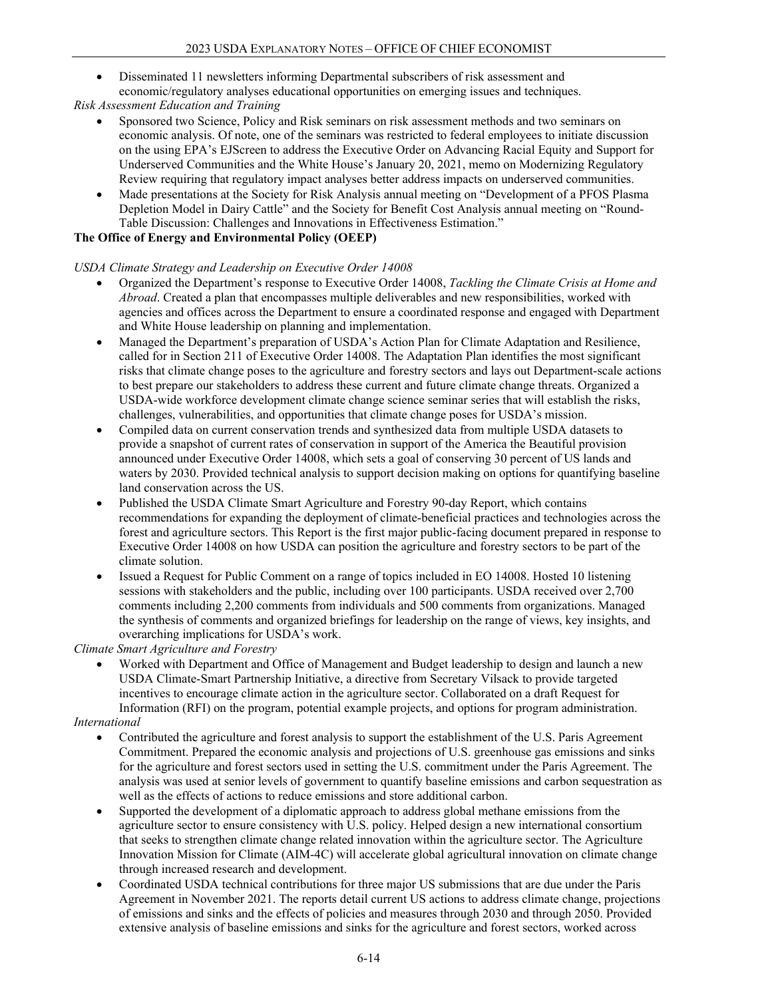• Disseminated 11 newsletters informing Departmental subscribers of risk assessment and economic/regulatory analyses educational opportunities on emerging issues and techniques.

## *Risk Assessment Education and Training*

- Sponsored two Science, Policy and Risk seminars on risk assessment methods and two seminars on economic analysis. Of note, one of the seminars was restricted to federal employees to initiate discussion on the using EPA's EJScreen to address the Executive Order on Advancing Racial Equity and Support for Underserved Communities and the White House's January 20, 2021, memo on Modernizing Regulatory Review requiring that regulatory impact analyses better address impacts on underserved communities.
- Made presentations at the Society for Risk Analysis annual meeting on "Development of a PFOS Plasma Depletion Model in Dairy Cattle" and the Society for Benefit Cost Analysis annual meeting on "Round-Table Discussion: Challenges and Innovations in Effectiveness Estimation."

## **The Office of Energy and Environmental Policy (OEEP)**

#### *USDA Climate Strategy and Leadership on Executive Order 14008*

- Organized the Department's response to Executive Order 14008, *Tackling the Climate Crisis at Home and Abroad*. Created a plan that encompasses multiple deliverables and new responsibilities, worked with agencies and offices across the Department to ensure a coordinated response and engaged with Department and White House leadership on planning and implementation.
- Managed the Department's preparation of USDA's Action Plan for Climate Adaptation and Resilience, called for in Section 211 of Executive Order 14008. The Adaptation Plan identifies the most significant risks that climate change poses to the agriculture and forestry sectors and lays out Department-scale actions to best prepare our stakeholders to address these current and future climate change threats. Organized a USDA-wide workforce development climate change science seminar series that will establish the risks, challenges, vulnerabilities, and opportunities that climate change poses for USDA's mission.
- Compiled data on current conservation trends and synthesized data from multiple USDA datasets to provide a snapshot of current rates of conservation in support of the America the Beautiful provision announced under Executive Order 14008, which sets a goal of conserving 30 percent of US lands and waters by 2030. Provided technical analysis to support decision making on options for quantifying baseline land conservation across the US.
- Published the USDA Climate Smart Agriculture and Forestry 90-day Report, which contains recommendations for expanding the deployment of climate-beneficial practices and technologies across the forest and agriculture sectors. This Report is the first major public-facing document prepared in response to Executive Order 14008 on how USDA can position the agriculture and forestry sectors to be part of the climate solution.
- Issued a Request for Public Comment on a range of topics included in EO 14008. Hosted 10 listening sessions with stakeholders and the public, including over 100 participants. USDA received over 2,700 comments including 2,200 comments from individuals and 500 comments from organizations. Managed the synthesis of comments and organized briefings for leadership on the range of views, key insights, and overarching implications for USDA's work.

*Climate Smart Agriculture and Forestry*

• Worked with Department and Office of Management and Budget leadership to design and launch a new USDA Climate-Smart Partnership Initiative, a directive from Secretary Vilsack to provide targeted incentives to encourage climate action in the agriculture sector. Collaborated on a draft Request for Information (RFI) on the program, potential example projects, and options for program administration.

#### *International*

- Contributed the agriculture and forest analysis to support the establishment of the U.S. Paris Agreement Commitment. Prepared the economic analysis and projections of U.S. greenhouse gas emissions and sinks for the agriculture and forest sectors used in setting the U.S. commitment under the Paris Agreement. The analysis was used at senior levels of government to quantify baseline emissions and carbon sequestration as well as the effects of actions to reduce emissions and store additional carbon.
- Supported the development of a diplomatic approach to address global methane emissions from the agriculture sector to ensure consistency with U.S. policy. Helped design a new international consortium that seeks to strengthen climate change related innovation within the agriculture sector. The Agriculture Innovation Mission for Climate (AIM-4C) will accelerate global agricultural innovation on climate change through increased research and development.
- Coordinated USDA technical contributions for three major US submissions that are due under the Paris Agreement in November 2021. The reports detail current US actions to address climate change, projections of emissions and sinks and the effects of policies and measures through 2030 and through 2050. Provided extensive analysis of baseline emissions and sinks for the agriculture and forest sectors, worked across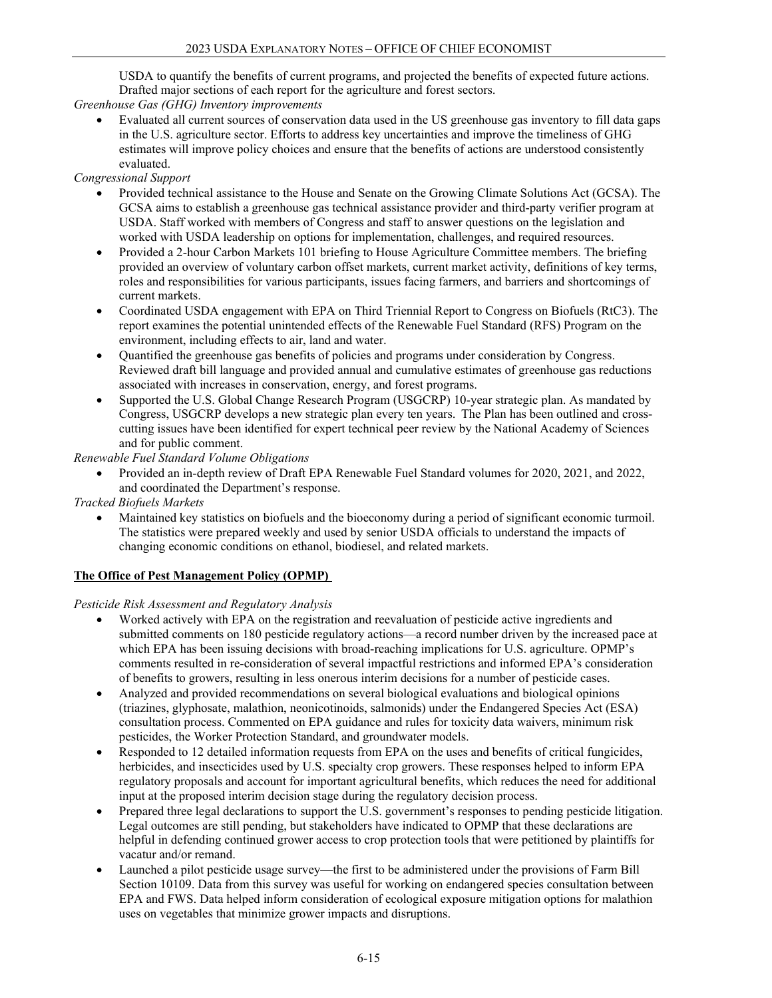USDA to quantify the benefits of current programs, and projected the benefits of expected future actions. Drafted major sections of each report for the agriculture and forest sectors.

*Greenhouse Gas (GHG) Inventory improvements*

• Evaluated all current sources of conservation data used in the US greenhouse gas inventory to fill data gaps in the U.S. agriculture sector. Efforts to address key uncertainties and improve the timeliness of GHG estimates will improve policy choices and ensure that the benefits of actions are understood consistently evaluated.

*Congressional Support*

- Provided technical assistance to the House and Senate on the Growing Climate Solutions Act (GCSA). The GCSA aims to establish a greenhouse gas technical assistance provider and third-party verifier program at USDA. Staff worked with members of Congress and staff to answer questions on the legislation and worked with USDA leadership on options for implementation, challenges, and required resources.
- Provided a 2-hour Carbon Markets 101 briefing to House Agriculture Committee members. The briefing provided an overview of voluntary carbon offset markets, current market activity, definitions of key terms, roles and responsibilities for various participants, issues facing farmers, and barriers and shortcomings of current markets.
- Coordinated USDA engagement with EPA on Third Triennial Report to Congress on Biofuels (RtC3). The report examines the potential unintended effects of the Renewable Fuel Standard (RFS) Program on the environment, including effects to air, land and water.
- Quantified the greenhouse gas benefits of policies and programs under consideration by Congress. Reviewed draft bill language and provided annual and cumulative estimates of greenhouse gas reductions associated with increases in conservation, energy, and forest programs.
- Supported the U.S. Global Change Research Program (USGCRP) 10-year strategic plan. As mandated by Congress, USGCRP develops a new strategic plan every ten years.  The Plan has been outlined and crosscutting issues have been identified for expert technical peer review by the National Academy of Sciences and for public comment.

*Renewable Fuel Standard Volume Obligations*

• Provided an in-depth review of Draft EPA Renewable Fuel Standard volumes for 2020, 2021, and 2022, and coordinated the Department's response.

*Tracked Biofuels Markets*

• Maintained key statistics on biofuels and the bioeconomy during a period of significant economic turmoil. The statistics were prepared weekly and used by senior USDA officials to understand the impacts of changing economic conditions on ethanol, biodiesel, and related markets.

#### **The Office of Pest Management Policy (OPMP)**

*Pesticide Risk Assessment and Regulatory Analysis*

- Worked actively with EPA on the registration and reevaluation of pesticide active ingredients and submitted comments on 180 pesticide regulatory actions—a record number driven by the increased pace at which EPA has been issuing decisions with broad-reaching implications for U.S. agriculture. OPMP's comments resulted in re-consideration of several impactful restrictions and informed EPA's consideration of benefits to growers, resulting in less onerous interim decisions for a number of pesticide cases.
- Analyzed and provided recommendations on several biological evaluations and biological opinions (triazines, glyphosate, malathion, neonicotinoids, salmonids) under the Endangered Species Act (ESA) consultation process. Commented on EPA guidance and rules for toxicity data waivers, minimum risk pesticides, the Worker Protection Standard, and groundwater models.
- Responded to 12 detailed information requests from EPA on the uses and benefits of critical fungicides, herbicides, and insecticides used by U.S. specialty crop growers. These responses helped to inform EPA regulatory proposals and account for important agricultural benefits, which reduces the need for additional input at the proposed interim decision stage during the regulatory decision process.
- Prepared three legal declarations to support the U.S. government's responses to pending pesticide litigation. Legal outcomes are still pending, but stakeholders have indicated to OPMP that these declarations are helpful in defending continued grower access to crop protection tools that were petitioned by plaintiffs for vacatur and/or remand.
- Launched a pilot pesticide usage survey—the first to be administered under the provisions of Farm Bill Section 10109. Data from this survey was useful for working on endangered species consultation between EPA and FWS. Data helped inform consideration of ecological exposure mitigation options for malathion uses on vegetables that minimize grower impacts and disruptions.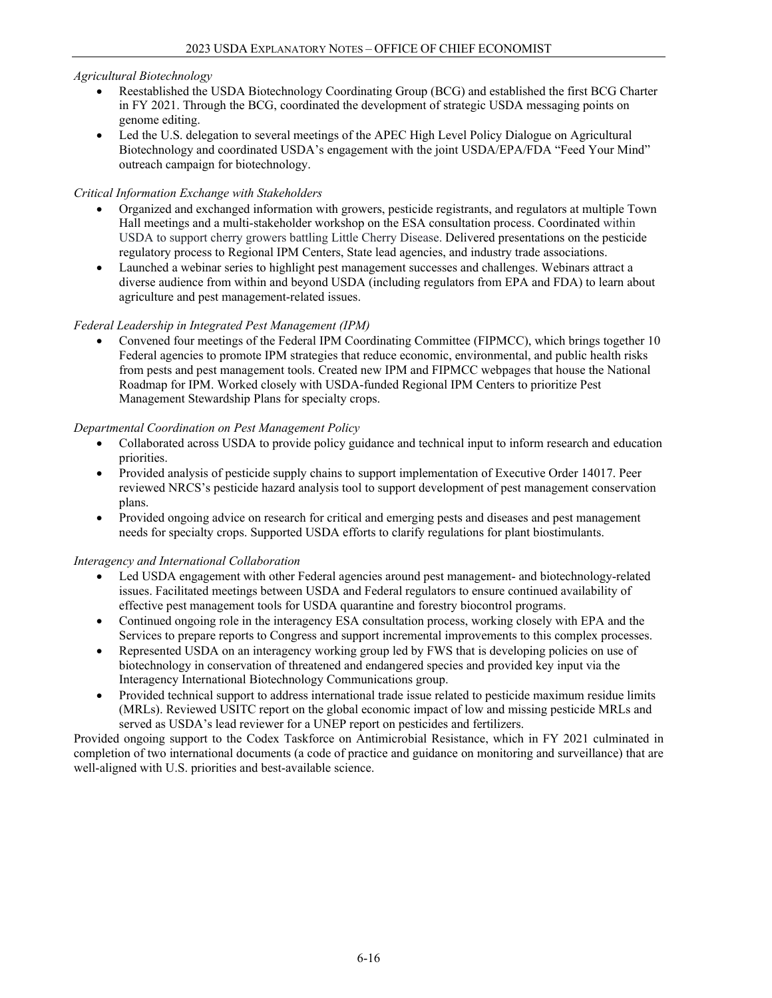## *Agricultural Biotechnology*

- Reestablished the USDA Biotechnology Coordinating Group (BCG) and established the first BCG Charter in FY 2021. Through the BCG, coordinated the development of strategic USDA messaging points on genome editing.
- Led the U.S. delegation to several meetings of the APEC High Level Policy Dialogue on Agricultural Biotechnology and coordinated USDA's engagement with the joint USDA/EPA/FDA "Feed Your Mind" outreach campaign for biotechnology.

## *Critical Information Exchange with Stakeholders*

- Organized and exchanged information with growers, pesticide registrants, and regulators at multiple Town Hall meetings and a multi-stakeholder workshop on the ESA consultation process. Coordinated within USDA to support cherry growers battling Little Cherry Disease. Delivered presentations on the pesticide regulatory process to Regional IPM Centers, State lead agencies, and industry trade associations.
- Launched a webinar series to highlight pest management successes and challenges. Webinars attract a diverse audience from within and beyond USDA (including regulators from EPA and FDA) to learn about agriculture and pest management-related issues.

## *Federal Leadership in Integrated Pest Management (IPM)*

• Convened four meetings of the Federal IPM Coordinating Committee (FIPMCC), which brings together 10 Federal agencies to promote IPM strategies that reduce economic, environmental, and public health risks from pests and pest management tools. Created new IPM and FIPMCC webpages that house the National Roadmap for IPM. Worked closely with USDA-funded Regional IPM Centers to prioritize Pest Management Stewardship Plans for specialty crops.

## *Departmental Coordination on Pest Management Policy*

- Collaborated across USDA to provide policy guidance and technical input to inform research and education priorities.
- Provided analysis of pesticide supply chains to support implementation of Executive Order 14017. Peer reviewed NRCS's pesticide hazard analysis tool to support development of pest management conservation plans.
- Provided ongoing advice on research for critical and emerging pests and diseases and pest management needs for specialty crops. Supported USDA efforts to clarify regulations for plant biostimulants.

#### *Interagency and International Collaboration*

- Led USDA engagement with other Federal agencies around pest management- and biotechnology-related issues. Facilitated meetings between USDA and Federal regulators to ensure continued availability of effective pest management tools for USDA quarantine and forestry biocontrol programs.
- Continued ongoing role in the interagency ESA consultation process, working closely with EPA and the Services to prepare reports to Congress and support incremental improvements to this complex processes.
- Represented USDA on an interagency working group led by FWS that is developing policies on use of biotechnology in conservation of threatened and endangered species and provided key input via the Interagency International Biotechnology Communications group.
- Provided technical support to address international trade issue related to pesticide maximum residue limits (MRLs). Reviewed USITC report on the global economic impact of low and missing pesticide MRLs and served as USDA's lead reviewer for a UNEP report on pesticides and fertilizers.

Provided ongoing support to the Codex Taskforce on Antimicrobial Resistance, which in FY 2021 culminated in completion of two international documents (a code of practice and guidance on monitoring and surveillance) that are well-aligned with U.S. priorities and best-available science.